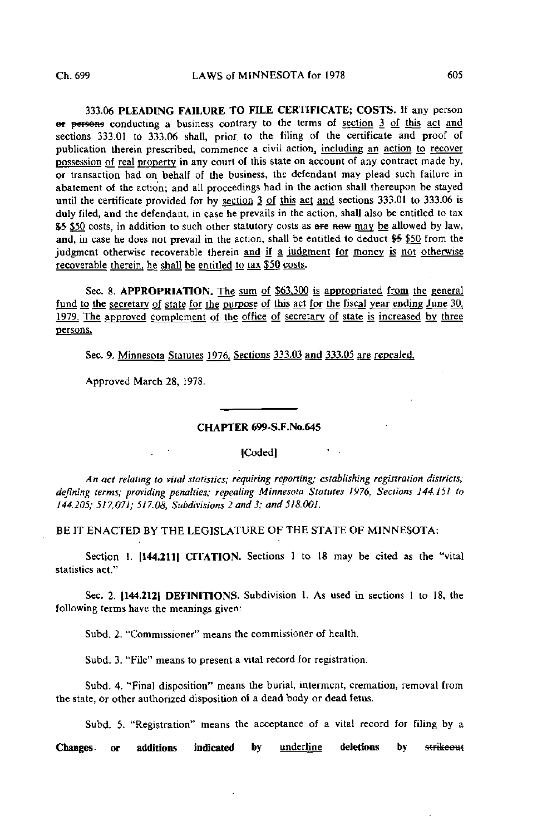333.06 PLEADING FAILURE TO FILE CERTIFICATE; COSTS. If any person ef persons conducting a business contrary to the terms of section 3 of this act and sections 333.01 to 333.06 shall, prior, to the filing of the certificate and proof of publication therein prescribed, commence a civil action, including an action to recover possession of real property in any court of this state on account of any contract made by, or transaction had on behalf of the business, the defendant may plead such failure in abatement of the action; and all proceedings had in the action shall thereupon be stayed until the certificate provided for by section 3 of this act and sections 333.01 to 333.06 is duly filed, and the defendant, in case he prevails in the action, shall also be entitled to tax \$5.50 costs, in addition to such other statutory costs as are now may be allowed by law, and, in case he does not prevail in the action, shall be entitled to deduct \$5 \$50 from the judgment otherwise recoverable therein and if a judgment for money is not otherwise recoverable therein, he shall be entitled to tax \$50 costs.

Sec. 8. APPROPRIATION. The sum of \$63,300 is appropriated from the general fund to the secretary of state for the purpose of this act for the fiscal year ending June 30. 1979. The approved complement of the office of secretary of state is increased by three persons.

Sec. 9. Minnesota Statutes 1976, Sections 333.03 and 333.05 are repealed.

Approved March 28, 1978.

## CHAPTER 699-S-F.No.645

jCodedl

An act relating to vital statistics; requiring reporting; establishing registration districts; defining terms; providing penalties; repeating Minnesota Statutes 1976, Sections 144.151 to 144.205; 517.071; 517.08, Subdivisions 2 and 3; and 518.001.

BE IT ENACTED BY THE LEGISLATURE OF THE STATE OF MINNESOTA:

Section 1. [144.211] CITATION. Sections 1 to 18 may be cited as the "vital statistics act."

Sec. 2. [144.212] DEFINITIONS. Subdivision 1. As used in sections 1 to 18, the following terms have the meanings given:

Subd. 2. "Commissioner" means the commissioner of health.

Subd. 3. "File" means to present a vital record for registration.

Subd. 4. "Final disposition" means the burial, interment, cremation, removal from the state, or other authorized disposition of a dead body or dead fetus.

Subd. 5. "Registration" means the acceptance of a vital record for filing by a

Changes- or additions indicated by underline deletions by strikeout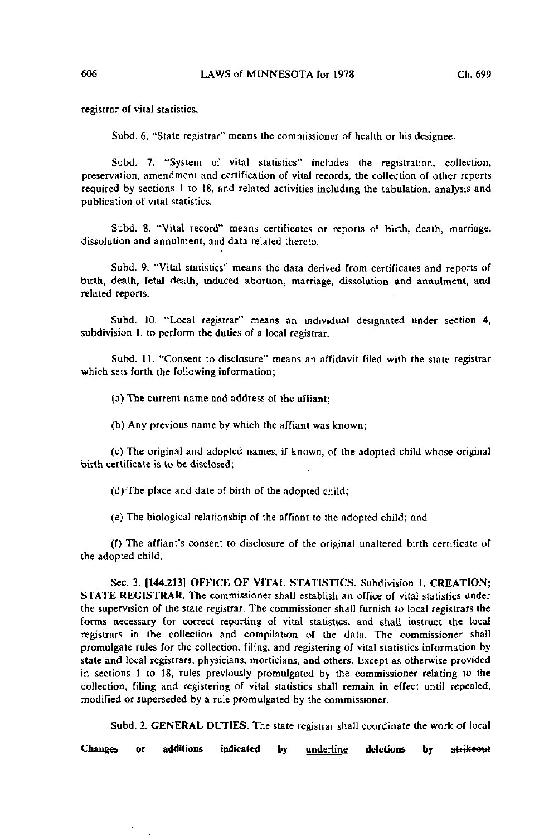registrar of vital statistics.

Subd. 6. "State registrar" means the commissioner of health or his designee.

Subd. 7. "System of vital statistics" includes the registration, collection, preservation, amendment and certification of vital records, the collection of other reports required by sections 1 to 18, and related activities including the tabulation, analysis and publication of vital statistics.

Subd. 8. "Vital record" means certificates or reports of birth, death, marriage, dissolution and annulment, and data related thereto.

Subd. 9. "Vital statistics" means the data derived from certificates and reports of birth, death, fetal death, induced abortion, marriage, dissolution and annulment, and related reports.

Subd. 10. "Local registrar" means an individual designated under section 4, subdivision 1, to perform the duties of a local registrar.

Subd. 11. "Consent to disclosure" means an affidavit filed with the state registrar which sets forth the following information;

(a) The current name and address of the affiant;

(b) Any previous name by which the affiant was known;

(c) The original and adopted names, if known, of the adopted child whose original birth certificate is to be disclosed;

(d)-The place and date of birth of the adopted child;

(e) The biological relationship of the affiant to the adopted child; and

(f) The affiant's consent to disclosure of the original unaltered birth certificate of the adopted child.

Sec. 3. [144,213] OFFICE OF VITAL STATISTICS. Subdivision 1. CREATION; STATE REGISTRAR. The commissioner shall establish an office of vital statistics under the supervision of the state registrar. The commissioner shall furnish to local registrars the forms necessary for correct reporting of vital statistics, and shall instruct the local registrars in the collection and compilation of the data. The commissioner shall promulgate rules for the collection, filing, and registering of vital statistics information by state and local registrars, physicians, morticians, and others. Except as otherwise provided in sections 1 to 18, rules previously promulgated by the commissioner relating to the collection, filing and registering of vital statistics shall remain in effect until repealed, modified or superseded by a rule promulgated by the commissioner.

Subd. 2. GENERAL DUTIES. The state registrar shall coordinate the work of local

Changes or additions indicated by underline deletions by strikeout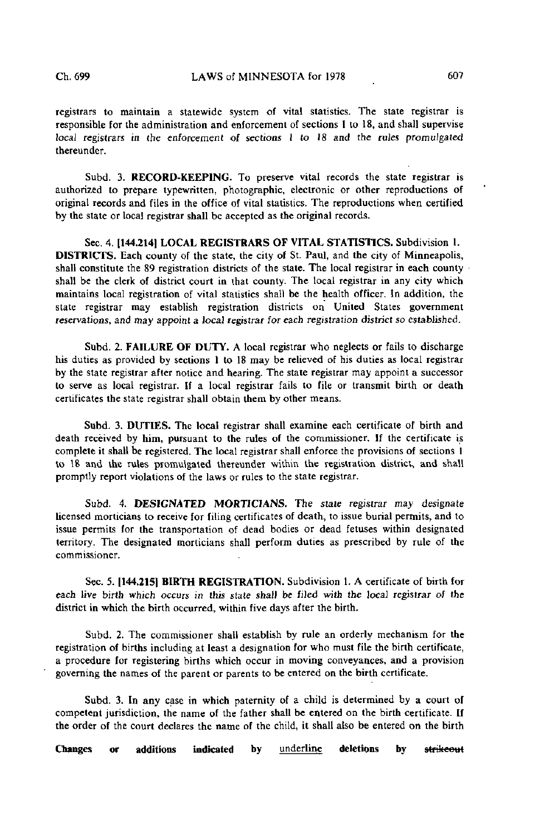registrars to maintain a statewide system of vital statistics. The state registrar is responsible for the administration and enforcement of sections 1 to 18, and shall supervise local registrars in the enforcement of sections 1 to 18 and the rules promulgated thereunder.

Subd. 3. RECORD-KEEPING. To preserve vital records the state registrar is authorized to prepare typewritten, photographic, electronic or other reproductions of original records and files in the office of vital statistics. The reproductions when certified by the state or local registrar shall be accepted as the original records.

Sec. 4. [144.2141 LOCAL REGISTRARS OF VITAL STATISTICS. Subdivision 1. DISTRICTS. Each county of the state, the city of St. Paul, and the city of Minneapolis, shall constitute the 89 registration districts of the state. The local registrar in each county shall be the clerk of district court in that county. The local registrar in any city which maintains local registration of vital statistics shall be the health officer. In addition, the state registrar may establish registration districts on United States government reservations, and may appoint a local registrar for each registration district so established.

Subd. 2. FAILURE OF DUTY. A local registrar who neglects or fails to discharge his duties as provided by sections 1 to 18 may be relieved of his duties as local registrar by the state registrar after notice and hearing. The state registrar may appoint a successor to serve as local registrar, if a local registrar fails to file or transmit birth or death certificates the state registrar shall obtain them by other means.

Subd. 3. DUTIES. The local registrar shall examine each certificate of birth and death received by him, pursuant to the rules of the commissioner. If the certificate is complete it shall be registered. The local registrar shall enforce the provisions of sections 1 to 18 and the rules promulgated thereunder within the registration district, and shall promptly report violations of the laws or rules to the state registrar.

Subd. 4. DESIGNATED MORTICIANS. The state registrar may designate licensed morticians to receive for filing certificates of death, to issue burial permits, and to issue permits for the transportation of dead bodies or dead fetuses within designated territory. The designated morticians shall perform duties as prescribed by rule of the commissioner.

Sec. 5. 1144,215) BIRTH REGISTRATION. Subdivision 1. A certificate of birth for each live birth which occurs in this state shall be filed with the local registrar of the district in which the birth occurred, within five days after the birth.

Subd. 2. The commissioner shall establish by rule an orderly mechanism for the registration of births including at least a designation for who must file the birth certificate, a procedure for registering births which occur in moving conveyances, and a provision governing the names of the parent or parents to be entered on the birth certificate.

Subd. 3. In any case in which paternity of a child is determined by a court of competent jurisdiction, the name of the father shall be entered on the birth certificate. If the order of the court declares the name of the child, it shall also be entered on the birth

Changes or additions indicated by underline deletions by strikeout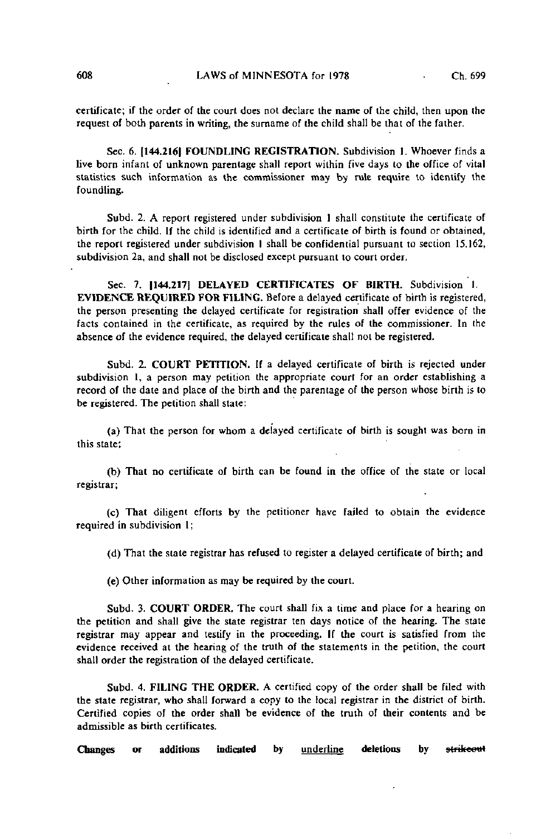certificate; if the order of the court does not declare the name of the child, then upon the request of both parents in writing, the surname of the child shall be that of the father.

Sec. 6. |144.216| FOUNDLING REGISTRATION. Subdivision 1. Whoever finds a live born infant of unknown parentage shall report within five days to the office of vital statistics such information as the commissioner may by rule require to identify the foundling.

Subd. 2. A report registered under subdivision 1 shall constitute the certificate of birth for the child. If the child is identified and a certificate of birth is found or obtained, the report registered under subdivision I shall be confidential pursuant to section 15.162, subdivision 2a, and shall not be disclosed except pursuant to court order.

Sec. 7. [144,217] DELAYED CERTIFICATES OF BIRTH. Subdivision 1. EVIDENCE REQUIRED FOR FILING. Before a delayed certificate of birth is registered, the person presenting the delayed certificate for registration shall offer evidence of the facts contained in the certificate, as required by the rules of the commissioner. In the absence of the evidence required, the delayed certificate shall not be registered.

Subd. 2. COURT PETITION. If a delayed certificate of birth is rejected under subdivision 1, a person may petition the appropriate court for an order establishing a record of the date and place of the birth and the parentage of the person whose birth is to be registered. The petition shall state:

(a) That the person for whom a delayed certificate of birth is sought was born in this state;

(b) That no certificate of birth can be found in the office of the state or local registrar;

(c) That diligent efforts by the petitioner have failed to obtain the evidence required in subdivision 1;

(d) That the state registrar has refused to register a delayed certificate of birth; and

(e) Other information as may be required by the court.

Subd. 3. COURT ORDER. The court shall fix a time and place for a hearing on the petition and shall give the state registrar ten days notice of the hearing. The state registrar may appear and testify in the proceeding. If the court is satisfied from the evidence received at the hearing of the truth of the statements in the petition, the court shall order the registration of the delayed certificate.

Subd. 4. FILING THE ORDER. A certified copy of the order shall be filed with the state registrar, who shall forward a copy to the local registrar in the district of birth. Certified copies of the order shall be evidence of the truth of their contents and be admissible as birth certificates.

Changes or additions indicated by underline deletions by strikecut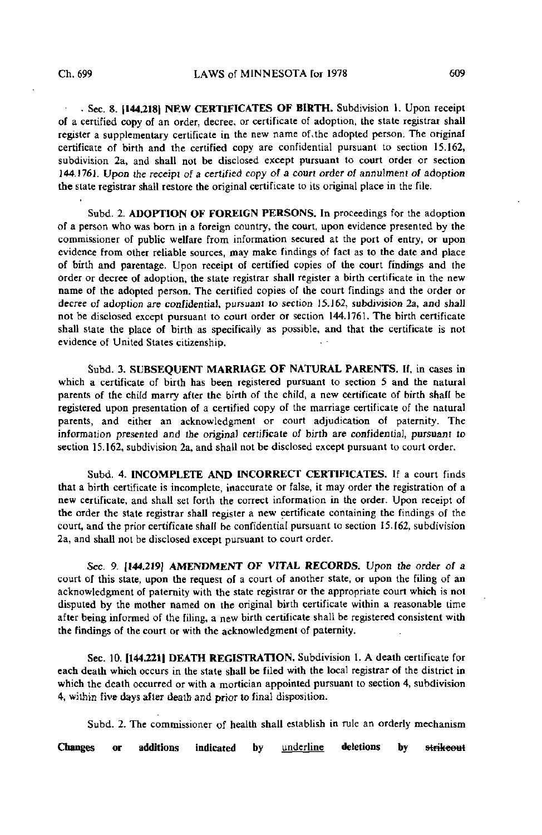- Sec. 8. |144.2181 NEW CERTIFICATES OF BIRTH. Subdivision 1. Upon receipt of a certified copy of an order, decree, or certificate of adoption, the state registrar shall register a supplementary certificate in the new name of.the adopted person: The original certificate of birth and the certified copy are confidential pursuant to section 15.162, subdivision 2a, and shall not be disclosed except pursuant to court order or section 144.1761. Upon the receipi of a certified copy of a court order of annulment of adoption the state registrar shall restore the original certificate to its original place in the file.

Subd. 2. ADOPTION OF FOREIGN PERSONS. In proceedings for the adoption of a person who was born in a foreign country, the court, upon evidence presented by the commissioner of public welfare from information secured at the port of entry, or upon evidence from other reliable sources, may make findings of fact as to the date and place of birth and parentage. Upon receipt of certified copies of the court findings and the order or decree of adoption, the state registrar shall register a birth certificate in the new name of the adopted person. The certified copies of the court findings and the order or decree of adoption are confidential, pursuant to section 15.162, subdivision 2a, and shall not be disclosed except pursuant to court order or section 144.1761. The birth certificate shall state the place of birth as specifically as possible, and that the certificate is not evidence of United States citizenship.

Subd. 3. SUBSEQUENT MARRIAGE OF NATURAL PARENTS. If, in cases in which a certificate of birth has been registered pursuant to section 5 and the natural parents of the child marry after the birth of the child, a new certificate of birth shall be registered upon presentation of a certified copy of the marriage certificate of the natural parents, and either an acknowledgment or court adjudication of paternity. The information presented and the original certificate of birth are confidential, pursuant to section 15.162, subdivision 2a, and shall not be disclosed except pursuant to court order.

Subd. 4. INCOMPLETE AND INCORRECT CERTIFICATES. If a court finds that a birth certificate is incomplete, inaccurate or false, it may order the registration of a new certificate, and shall set forth the correct information in the order. Upon receipt of the order the state registrar shall register a new certificate containing the findings of the court, and the prior certificate shall be confidential pursuant to section 15.162, subdivision 2a, and shall not be disclosed except pursuant to court order.

Sec. 9. [144,219] AMENDMENT OF VITAL RECORDS. Upon the order of a court of this state, upon the request of a court of another state, or upon the filing of an acknowledgment of paternity with the state registrar or the appropriate court which is not disputed by the mother named on the original birth certificate within a reasonable time after being informed of the filing, a new birth certificate shall be registered consistent with the findings of the court or with the acknowledgment of paternity.

Sec. 10. 1144.2211 DEATH REGISTRATION. Subdivision 1. A death certificate for each death which occurs in the state shall be filed with the local registrar of the district in which the death occurred or with a mortician appointed pursuant to section 4, subdivision 4, within five days afler death and prior to final disposition.

Subd. 2. The commissioner of health shall establish in rule an orderly mechanism

Changes or additions indicated by <u>underline</u> deletions by st<del>rikeou</del>t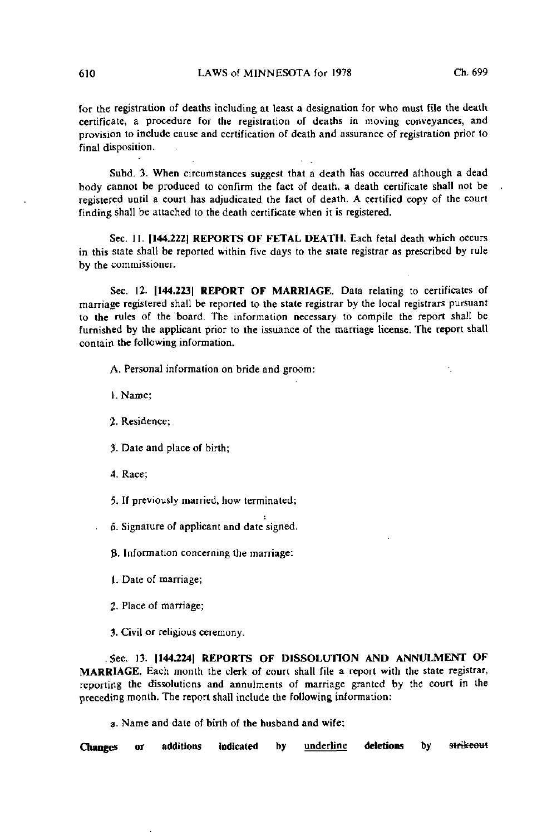k.

for the registration of deaths including at least a designation for who must file the death certificate, a procedure for the registration of deaths in moving conveyances, and provision to include cause and certification of death and assurance of registration prior to final disposition.

Subd. 3. When circumstances suggest that a death has occurred although a dead body cannot be produced to confirm the fact of death, a death certificate shall not be registered until a court has adjudicated the fact of death. A certified copy of the court finding shall be attached to the death certificate when it is registered.

Sec. II. [144.222] REPORTS OF FETAL DEATH. Each fetal death which occurs in this state shall be reported within five days to the state registrar as prescribed by rule by the commissioner.

Sec. 12. [144.223] REPORT OF MARRIAGE. Data relating to certificates of marriage registered shall be reported to the state registrar by the local registrars pursuant to the rules of the board. The information necessary to compile the report shall be furnished by the applicant prior to the issuance of the marriage License. The report shall contain the following information.

A. Personal information on bride and groom:

1. Name;

2. Residence;

?. Date and place of birth;

4. Race;

5. If previously married, how terminated;

6- Signature of applicant and date signed.

B. Information concerning the marriage:

I. Date of marriage;

2- Place of marriage;

3. Civil or religious ceremony.

.Sec. 13. 1144.224] REPORTS OF DISSOLUTION AND ANNULMENT OF MARRIAGE. Each month the clerk of court shall file a report with the state registrar, reporting the dissolutions and annulments of marriage granted by the court in the preceding month. The report shall include the following information:

a- Name and date of birth of the husband and wife;

Changes or additions indicated by <u>underline</u> deletions by st<del>rikeou</del>t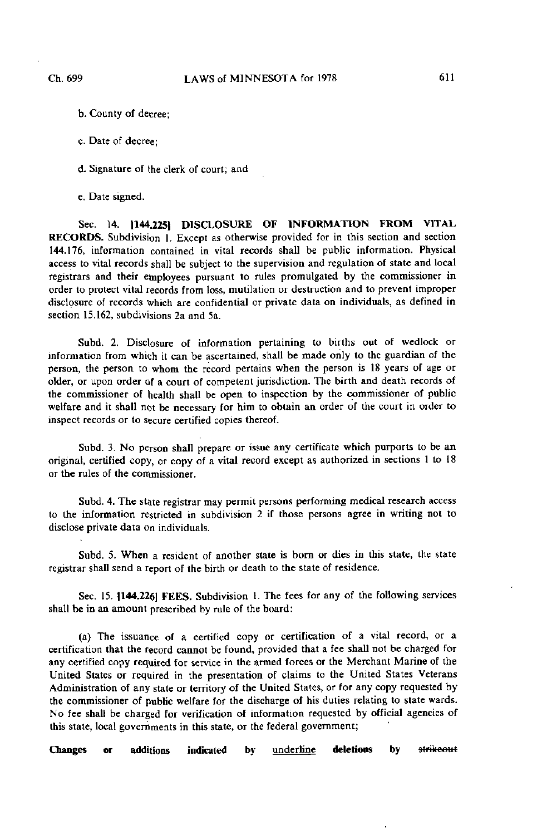- b. County of decree;
- c. Date of decree;

d. Signature of the clerk of court; and

e. Date signed.

Sec. 14. 1144.225] DISCLOSURE OF INFORMATION FROM VITAL RECORDS. Subdivision 1. Except as otherwise provided for in this section and section 144.176, information contained in vital records shall be public information. Physical access to vital records shall be subject to the supervision and regulation of state and local registrars and their employees pursuant to rules promulgated by the commissioner in order to protect vital records from loss, mutilation or destruction and to prevent improper disclosure of records which are confidential or private data on individuals, as defined in section 15.162, subdivisions 2a and 5a.

Subd. 2. Disclosure of information pertaining to births out of wedlock or information from which it can be ascertained, shall be made only to the guardian of the person, the person to whom the record pertains when the person is 18 years of age or older, or upon order of a court of competent jurisdiction. The birth and death records of the commissioner of health shall be open to inspection by the commissioner of public welfare and it shall not be necessary for him to obtain an order of the court in order to inspect records or to secure certified copies thereof.

Subd. 3. No person shall prepare or issue any certificate which purports to be an original, certified copy, or copy of a vital record except as authorized in sections 1 to 18 or the rules of the commissioner.

Subd. 4. The state registrar may permit persons performing medical research access to the information restricted in subdivision 2 if those persons agree in writing not to disclose private data on individuals.

Subd. 5. When a resident of another state is born or dies in this state, the state registrar shall send a report of the birth or death to the state of residence.

Sec. 15. 1144.2261 FEES. Subdivision 1. The fees for any of the following services shall be in an amount prescribed by rule of the board:

(a) The issuance of a certified copy or certification of a vital record, or a certification that the record cannot be found, provided that a fee shall not be charged for any certified copy required for service in the armed forces or the Merchant Marine of the United States or required in the presentation of claims to the United States Veterans Administration of any state or territory of the United States, or for any copy requested by the commissioner of public welfare for the discharge of his duties relating to state wards. No fee shall be charged for verification of information requested by official agencies of this state, local governments in this state, or the federal government;

Changes or additions indicated by underline deletions by strikeout

,